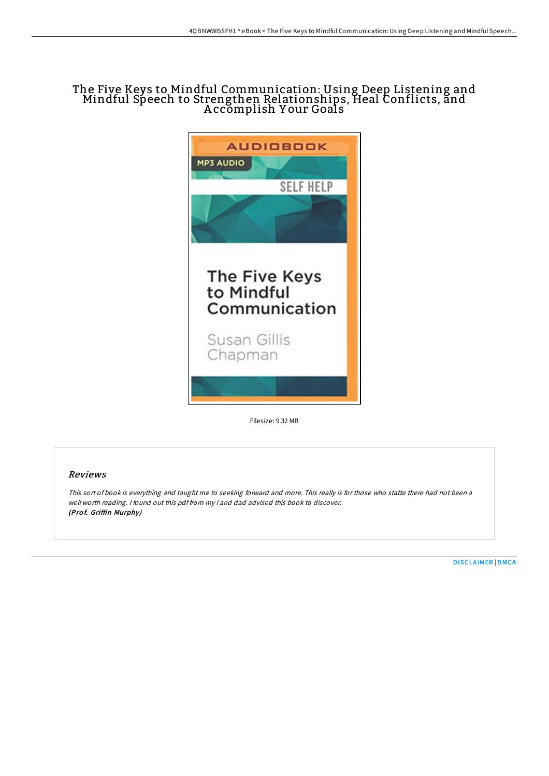# The Five Keys to Mindful Communication: Using Deep Listening and Mindful Speech to Strengthen Relationships, Heal Conflicts, and A ccomplish Y our Goals



Filesize: 9.32 MB

## Reviews

This sort of book is everything and taught me to seeking forward and more. This really is for those who statte there had not been <sup>a</sup> well worth reading. <sup>I</sup> found out this pdf from my i and dad advised this book to discover. (Pro f. Griffin Murphy)

[DISCLAIMER](http://almighty24.tech/disclaimer.html) | [DMCA](http://almighty24.tech/dmca.html)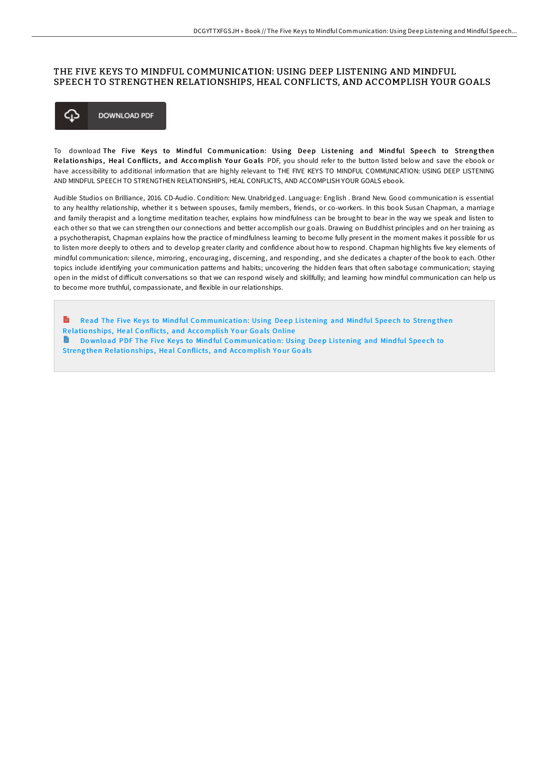### THE FIVE KEYS TO MINDFUL COMMUNICATION: USING DEEP LISTENING AND MINDFUL SPEECH TO STRENGTHEN RELATIONSHIPS, HEAL CONFLICTS, AND ACCOMPLISH YOUR GOALS



To download The Five Keys to Mindful Communication: Using Deep Listening and Mindful Speech to Strengthen Relationships, Heal Conflicts, and Accomplish Your Goals PDF, you should refer to the button listed below and save the ebook or have accessibility to additional information that are highly relevant to THE FIVE KEYS TO MINDFUL COMMUNICATION: USING DEEP LISTENING AND MINDFUL SPEECH TO STRENGTHEN RELATIONSHIPS, HEAL CONFLICTS, AND ACCOMPLISH YOUR GOALS ebook.

Audible Studios on Brilliance, 2016. CD-Audio. Condition: New. Unabridged. Language: English . Brand New. Good communication is essential to any healthy relationship, whether it s between spouses, family members, friends, or co-workers. In this book Susan Chapman, a marriage and family therapist and a longtime meditation teacher, explains how mindfulness can be brought to bear in the way we speak and listen to each other so that we can strengthen our connections and better accomplish our goals. Drawing on Buddhist principles and on her training as a psychotherapist, Chapman explains how the practice of mindfulness learning to become fully present in the moment makes it possible for us to listen more deeply to others and to develop greater clarity and confidence about how to respond. Chapman highlights five key elements of mindful communication: silence, mirroring, encouraging, discerning, and responding, and she dedicates a chapter of the book to each. Other topics include identifying your communication patterns and habits; uncovering the hidden fears that often sabotage communication; staying open in the midst of difficult conversations so that we can respond wisely and skillfully; and learning how mindful communication can help us to become more truthful, compassionate, and flexible in our relationships.

 $\mathbf{r}$ Read The Five Keys to Mindful Co[mmunicatio](http://almighty24.tech/the-five-keys-to-mindful-communication-using-dee.html)n: Using Deep Listening and Mindful Speech to Strengthen Re latio nships , Heal Co nflicts , and Acco mplish Y o ur Go als Online Download PDF The Five Keys to Mindful Co[mmunicatio](http://almighty24.tech/the-five-keys-to-mindful-communication-using-dee.html)n: Using Deep Listening and Mindful Speech to Streng then Relationships, Heal Conflicts, and Accomplish Your Goals